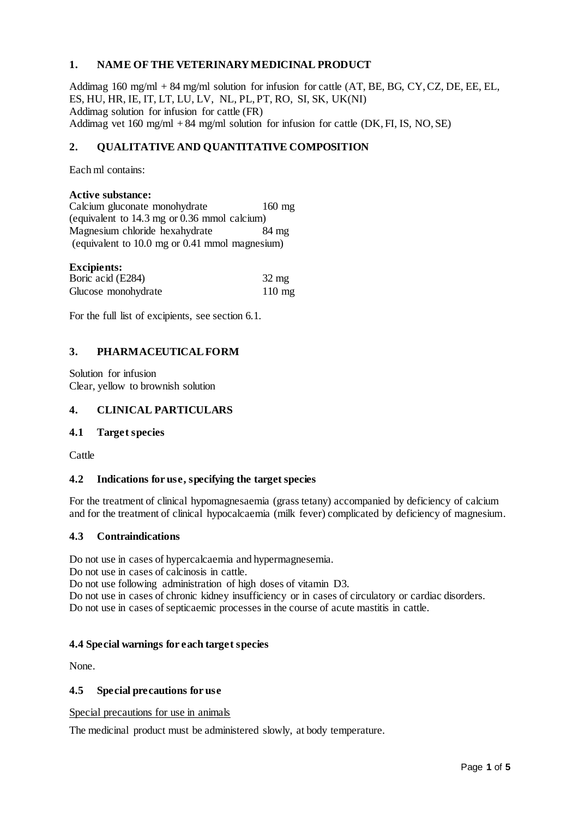## **1. NAME OF THE VETERINARY MEDICINAL PRODUCT**

Addimag  $160 \text{ mg/ml} + 84 \text{ mg/ml}$  solution for infusion for cattle  $(AT, BE, BG, CY, CZ, DE, EE, EL,$ ES, HU, HR, IE, IT, LT, LU, LV, NL, PL, PT, RO, SI, SK, UK(NI) Addimag solution for infusion for cattle (FR) Addimag vet  $160 \text{ mg/ml} + 84 \text{ mg/ml}$  solution for infusion for cattle (DK, FI, IS, NO, SE)

# **2. QUALITATIVE AND QUANTITATIVE COMPOSITION**

Each ml contains:

#### **Active substance:**

Calcium gluconate monohydrate 160 mg (equivalent to 14.3 mg or 0.36 mmol calcium) Magnesium chloride hexahydrate 84 mg (equivalent to 10.0 mg or 0.41 mmol magnesium)

| <b>Excipients:</b>  |                  |
|---------------------|------------------|
| Boric acid (E284)   | $32 \text{ mg}$  |
| Glucose monohydrate | $110 \text{ mg}$ |

For the full list of excipients, see section 6.1.

## **3. PHARMACEUTICAL FORM**

Solution for infusion Clear, yellow to brownish solution

#### **4. CLINICAL PARTICULARS**

#### **4.1 Target species**

**Cattle** 

#### **4.2 Indications for use, specifying the target species**

For the treatment of clinical hypomagnesaemia (grass tetany) accompanied by deficiency of calcium and for the treatment of clinical hypocalcaemia (milk fever) complicated by deficiency of magnesium.

#### **4.3 Contraindications**

Do not use in cases of hypercalcaemia and hypermagnesemia.

Do not use in cases of calcinosis in cattle.

Do not use following administration of high doses of vitamin D3.

Do not use in cases of chronic kidney insufficiency or in cases of circulatory or cardiac disorders. Do not use in cases of septicaemic processes in the course of acute mastitis in cattle.

#### **4.4 Special warnings for each target species**

None.

#### **4.5 Special precautions for use**

Special precautions for use in animals

The medicinal product must be administered slowly, at body temperature.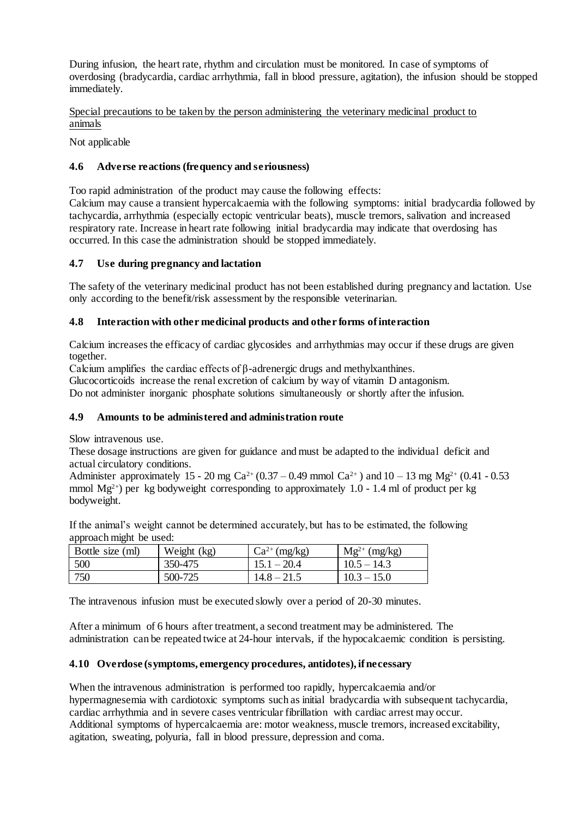During infusion, the heart rate, rhythm and circulation must be monitored. In case of symptoms of overdosing (bradycardia, cardiac arrhythmia, fall in blood pressure, agitation), the infusion should be stopped immediately.

Special precautions to be taken by the person administering the veterinary medicinal product to animals

Not applicable

### **4.6 Adverse reactions (frequency and seriousness)**

Too rapid administration of the product may cause the following effects:

Calcium may cause a transient hypercalcaemia with the following symptoms: initial bradycardia followed by tachycardia, arrhythmia (especially ectopic ventricular beats), muscle tremors, salivation and increased respiratory rate. Increase in heart rate following initial bradycardia may indicate that overdosing has occurred. In this case the administration should be stopped immediately.

### **4.7 Use during pregnancy and lactation**

The safety of the veterinary medicinal product has not been established during pregnancy and lactation. Use only according to the benefit/risk assessment by the responsible veterinarian.

### **4.8 Interaction with other medicinal products and other forms of interaction**

Calcium increases the efficacy of cardiac glycosides and arrhythmias may occur if these drugs are given together.

Calcium amplifies the cardiac effects of β-adrenergic drugs and methylxanthines.

Glucocorticoids increase the renal excretion of calcium by way of vitamin D antagonism.

Do not administer inorganic phosphate solutions simultaneously or shortly after the infusion.

#### **4.9 Amounts to be administered and administration route**

Slow intravenous use.

These dosage instructions are given for guidance and must be adapted to the individual deficit and actual circulatory conditions.

Administer approximately 15 - 20 mg Ca<sup>2+</sup> (0.37 – 0.49 mmol Ca<sup>2+</sup>) and 10 – 13 mg Mg<sup>2+</sup> (0.41 - 0.53 mmol  $Mg^{2+}$ ) per kg bodyweight corresponding to approximately 1.0 - 1.4 ml of product per kg bodyweight.

If the animal's weight cannot be determined accurately, but has to be estimated, the following approach might be used:

| Bottle size (ml) | Weight (kg) | $Ca^{2+}$ (mg/kg) | $Mg^{2+}$ (mg/kg) |
|------------------|-------------|-------------------|-------------------|
| 500              | 350-475     | $15.1 - 20.4$     | $10.5 - 14.3$     |
| 750              | 500-725     | $14.8 - 21.5$     | $10.3 - 15.0$     |

The intravenous infusion must be executed slowly over a period of 20-30 minutes.

After a minimum of 6 hours after treatment, a second treatment may be administered. The administration can be repeated twice at 24-hour intervals, if the hypocalcaemic condition is persisting.

#### **4.10 Overdose (symptoms, emergency procedures, antidotes), if necessary**

When the intravenous administration is performed too rapidly, hypercalcaemia and/or hypermagnesemia with cardiotoxic symptoms such as initial bradycardia with subsequent tachycardia, cardiac arrhythmia and in severe cases ventricular fibrillation with cardiac arrest may occur. Additional symptoms of hypercalcaemia are: motor weakness, muscle tremors, increased excitability, agitation, sweating, polyuria, fall in blood pressure, depression and coma.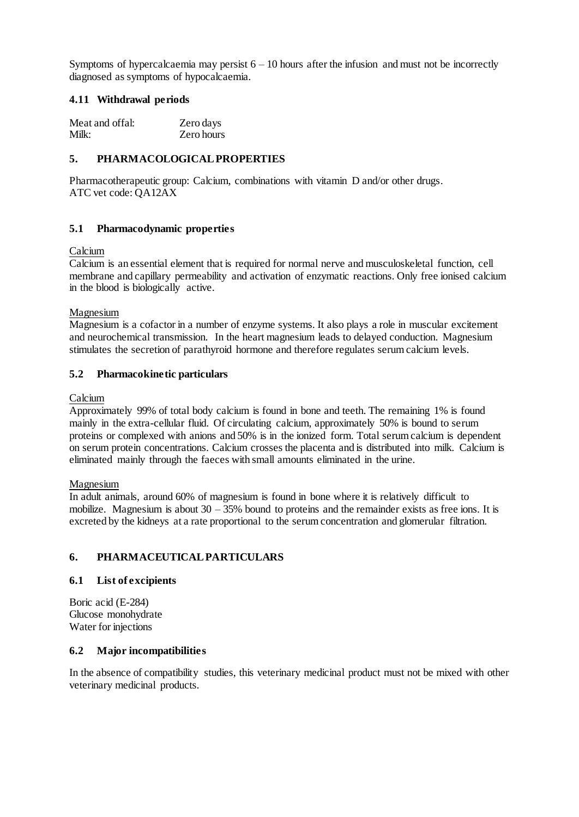Symptoms of hypercalcaemia may persist  $6 - 10$  hours after the infusion and must not be incorrectly diagnosed as symptoms of hypocalcaemia.

### **4.11 Withdrawal periods**

| Meat and offal: | Zero days  |
|-----------------|------------|
| Milk:           | Zero hours |

## **5. PHARMACOLOGICAL PROPERTIES**

Pharmacotherapeutic group: Calcium, combinations with vitamin D and/or other drugs. ATC vet code: QA12AX

## **5.1 Pharmacodynamic properties**

#### Calcium

Calcium is an essential element that is required for normal nerve and musculoskeletal function, cell membrane and capillary permeability and activation of enzymatic reactions. Only free ionised calcium in the blood is biologically active.

### Magnesium

Magnesium is a cofactor in a number of enzyme systems. It also plays a role in muscular excitement and neurochemical transmission. In the heart magnesium leads to delayed conduction. Magnesium stimulates the secretion of parathyroid hormone and therefore regulates serum calcium levels.

### **5.2 Pharmacokinetic particulars**

### Calcium

Approximately 99% of total body calcium is found in bone and teeth. The remaining 1% is found mainly in the extra-cellular fluid. Of circulating calcium, approximately 50% is bound to serum proteins or complexed with anions and 50% is in the ionized form. Total serum calcium is dependent on serum protein concentrations. Calcium crosses the placenta and is distributed into milk. Calcium is eliminated mainly through the faeces with small amounts eliminated in the urine.

#### Magnesium

In adult animals, around 60% of magnesium is found in bone where it is relatively difficult to mobilize. Magnesium is about  $30 - 35\%$  bound to proteins and the remainder exists as free ions. It is excreted by the kidneys at a rate proportional to the serum concentration and glomerular filtration.

## **6. PHARMACEUTICAL PARTICULARS**

## **6.1 List of excipients**

Boric acid (E-284) Glucose monohydrate Water for injections

#### **6.2 Major incompatibilities**

In the absence of compatibility studies, this veterinary medicinal product must not be mixed with other veterinary medicinal products.